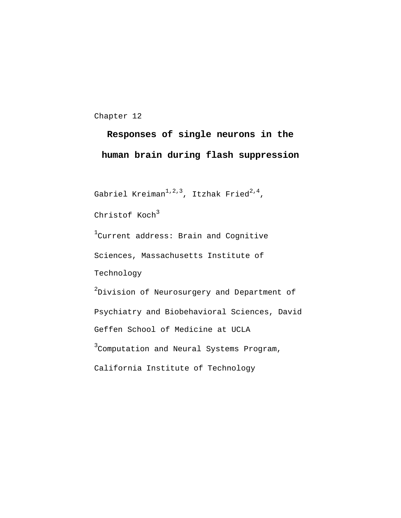Chapter 12

# **Responses of single neurons in the human brain during flash suppression**

```
Gabriel Kreiman^{1,\,2,\,3}, Itzhak Fried^{2,\,4},
```
Christof  $Koch<sup>3</sup>$ 

 $^1$ Current address: Brain and Cognitive Sciences, Massachusetts Institute of Technology

 $^2$ Division of Neurosurgery and Department of Psychiatry and Biobehavioral Sciences, David Geffen School of Medicine at UCLA <sup>3</sup>Computation and Neural Systems Program, California Institute of Technology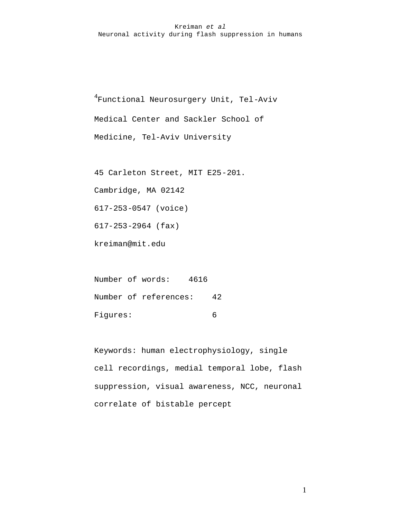4 Functional Neurosurgery Unit, Tel-Aviv Medical Center and Sackler School of Medicine, Tel-Aviv University

45 Carleton Street, MIT E25-201.

Cambridge, MA 02142

617-253-0547 (voice)

617-253-2964 (fax)

kreiman@mit.edu

Number of words: 4616 Number of references: 42 Figures: 6

Keywords: human electrophysiology, single cell recordings, medial temporal lobe, flash suppression, visual awareness, NCC, neuronal correlate of bistable percept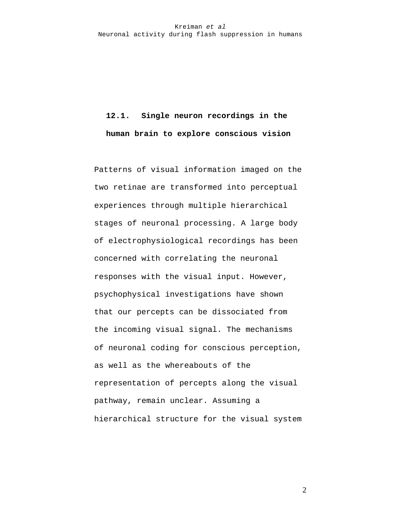# **12.1. Single neuron recordings in the human brain to explore conscious vision**

Patterns of visual information imaged on the two retinae are transformed into perceptual experiences through multiple hierarchical stages of neuronal processing. A large body of electrophysiological recordings has been concerned with correlating the neuronal responses with the visual input. However, psychophysical investigations have shown that our percepts can be dissociated from the incoming visual signal. The mechanisms of neuronal coding for conscious perception, as well as the whereabouts of the representation of percepts along the visual pathway, remain unclear. Assuming a hierarchical structure for the visual system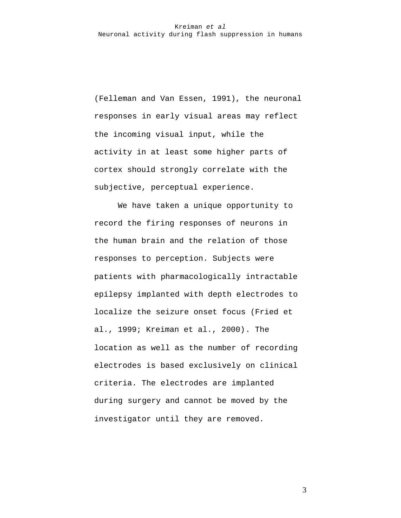(Felleman and Van Essen, 1991), the neuronal responses in early visual areas may reflect the incoming visual input, while the activity in at least some higher parts of cortex should strongly correlate with the subjective, perceptual experience.

We have taken a unique opportunity to record the firing responses of neurons in the human brain and the relation of those responses to perception. Subjects were patients with pharmacologically intractable epilepsy implanted with depth electrodes to localize the seizure onset focus (Fried et al., 1999; Kreiman et al., 2000). The location as well as the number of recording electrodes is based exclusively on clinical criteria. The electrodes are implanted during surgery and cannot be moved by the investigator until they are removed.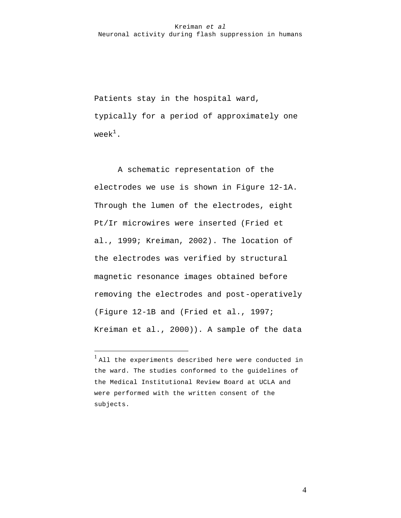Patients stay in the hospital ward, typically for a period of approximately one week $1$ .

A schematic representation of the electrodes we use is shown in Figure 12-1A. Through the lumen of the electrodes, eight Pt/Ir microwires were inserted (Fried et al., 1999; Kreiman, 2002). The location of the electrodes was verified by structural magnetic resonance images obtained before removing the electrodes and post-operatively (Figure 12-1B and (Fried et al., 1997; Kreiman et al., 2000)). A sample of the data

 $\overline{a}$ 

<sup>&</sup>lt;sup>1</sup> All the experiments described here were conducted in the ward. The studies conformed to the guidelines of the Medical Institutional Review Board at UCLA and were performed with the written consent of the subjects.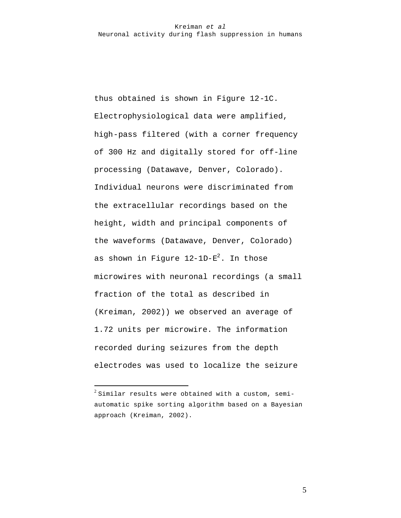thus obtained is shown in Figure 12-1C. Electrophysiological data were amplified, high-pass filtered (with a corner frequency of 300 Hz and digitally stored for off-line processing (Datawave, Denver, Colorado). Individual neurons were discriminated from the extracellular recordings based on the height, width and principal components of the waveforms (Datawave, Denver, Colorado) as shown in Figure  $12\text{--}1\text{D-E}^2$ . In those microwires with neuronal recordings (a small fraction of the total as described in (Kreiman, 2002)) we observed an average of 1.72 units per microwire. The information recorded during seizures from the depth electrodes was used to localize the seizure

 $\overline{a}$ 

 $^2$  Similar results were obtained with a custom, semiautomatic spike sorting algorithm based on a Bayesian approach (Kreiman, 2002).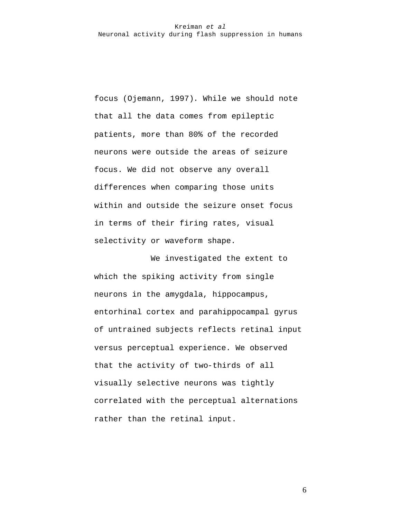focus (Ojemann, 1997). While we should note that all the data comes from epileptic patients, more than 80% of the recorded neurons were outside the areas of seizure focus. We did not observe any overall differences when comparing those units within and outside the seizure onset focus in terms of their firing rates, visual selectivity or waveform shape.

We investigated the extent to which the spiking activity from single neurons in the amygdala, hippocampus, entorhinal cortex and parahippocampal gyrus of untrained subjects reflects retinal input versus perceptual experience. We observed that the activity of two-thirds of all visually selective neurons was tightly correlated with the perceptual alternations rather than the retinal input.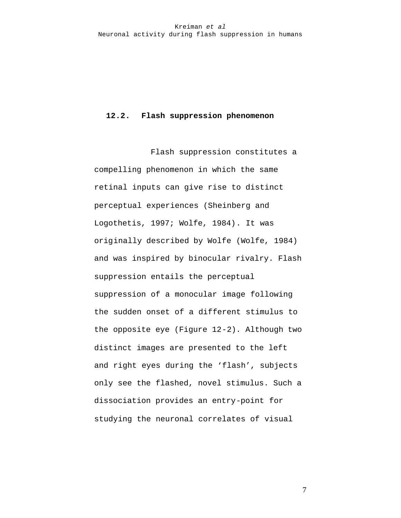### **12.2. Flash suppression phenomenon**

Flash suppression constitutes a compelling phenomenon in which the same retinal inputs can give rise to distinct perceptual experiences (Sheinberg and Logothetis, 1997; Wolfe, 1984). It was originally described by Wolfe (Wolfe, 1984) and was inspired by binocular rivalry. Flash suppression entails the perceptual suppression of a monocular image following the sudden onset of a different stimulus to the opposite eye (Figure 12-2). Although two distinct images are presented to the left and right eyes during the 'flash', subjects only see the flashed, novel stimulus. Such a dissociation provides an entry-point for studying the neuronal correlates of visual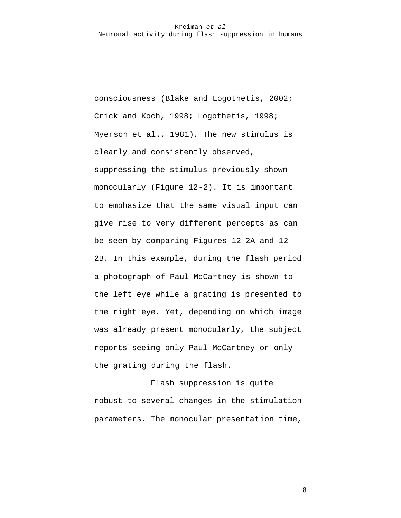consciousness (Blake and Logothetis, 2002; Crick and Koch, 1998; Logothetis, 1998; Myerson et al., 1981). The new stimulus is clearly and consistently observed, suppressing the stimulus previously shown monocularly (Figure 12-2). It is important to emphasize that the same visual input can give rise to very different percepts as can be seen by comparing Figures 12-2A and 12- 2B. In this example, during the flash period a photograph of Paul McCartney is shown to the left eye while a grating is presented to the right eye. Yet, depending on which image was already present monocularly, the subject reports seeing only Paul McCartney or only the grating during the flash.

Flash suppression is quite robust to several changes in the stimulation parameters. The monocular presentation time,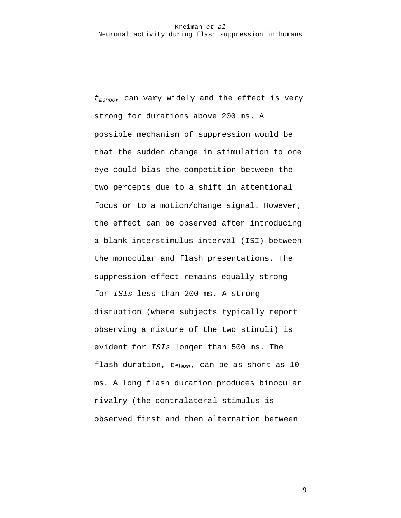*tmonoc*, can vary widely and the effect is very strong for durations above 200 ms. A possible mechanism of suppression would be that the sudden change in stimulation to one eye could bias the competition between the two percepts due to a shift in attentional focus or to a motion/change signal. However, the effect can be observed after introducing a blank interstimulus interval (ISI) between the monocular and flash presentations. The suppression effect remains equally strong for *ISIs* less than 200 ms. A strong disruption (where subjects typically report observing a mixture of the two stimuli) is evident for *ISIs* longer than 500 ms. The flash duration, *tflash*, can be as short as 10 ms. A long flash duration produces binocular rivalry (the contralateral stimulus is observed first and then alternation between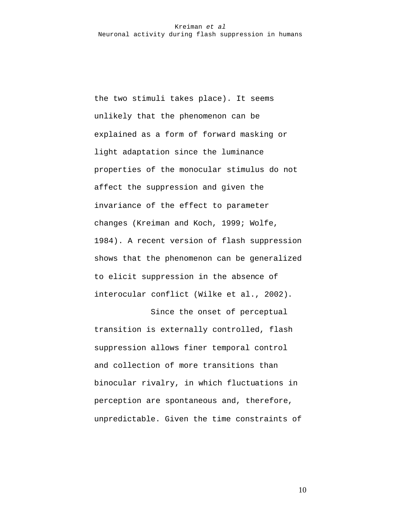the two stimuli takes place). It seems unlikely that the phenomenon can be explained as a form of forward masking or light adaptation since the luminance properties of the monocular stimulus do not affect the suppression and given the invariance of the effect to parameter changes (Kreiman and Koch, 1999; Wolfe, 1984). A recent version of flash suppression shows that the phenomenon can be generalized to elicit suppression in the absence of interocular conflict (Wilke et al., 2002).

Since the onset of perceptual transition is externally controlled, flash suppression allows finer temporal control and collection of more transitions than binocular rivalry, in which fluctuations in perception are spontaneous and, therefore, unpredictable. Given the time constraints of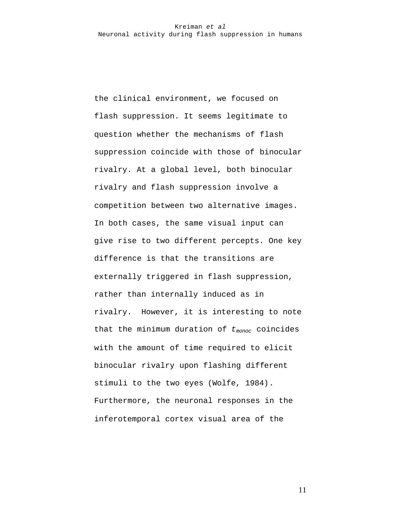the clinical environment, we focused on flash suppression. It seems legitimate to question whether the mechanisms of flash suppression coincide with those of binocular rivalry. At a global level, both binocular rivalry and flash suppression involve a competition between two alternative images. In both cases, the same visual input can give rise to two different percepts. One key difference is that the transitions are externally triggered in flash suppression, rather than internally induced as in rivalry. However, it is interesting to note that the minimum duration of *tmonoc* coincides with the amount of time required to elicit binocular rivalry upon flashing different stimuli to the two eyes (Wolfe, 1984). Furthermore, the neuronal responses in the inferotemporal cortex visual area of the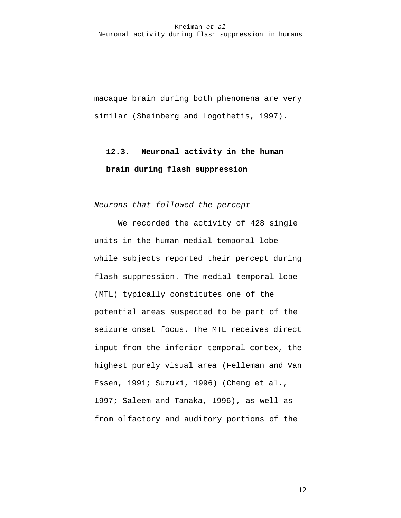macaque brain during both phenomena are very similar (Sheinberg and Logothetis, 1997).

# **12.3. Neuronal activity in the human brain during flash suppression**

*Neurons that followed the percept*

We recorded the activity of 428 single units in the human medial temporal lobe while subjects reported their percept during flash suppression. The medial temporal lobe (MTL) typically constitutes one of the potential areas suspected to be part of the seizure onset focus. The MTL receives direct input from the inferior temporal cortex, the highest purely visual area (Felleman and Van Essen, 1991; Suzuki, 1996) (Cheng et al., 1997; Saleem and Tanaka, 1996), as well as from olfactory and auditory portions of the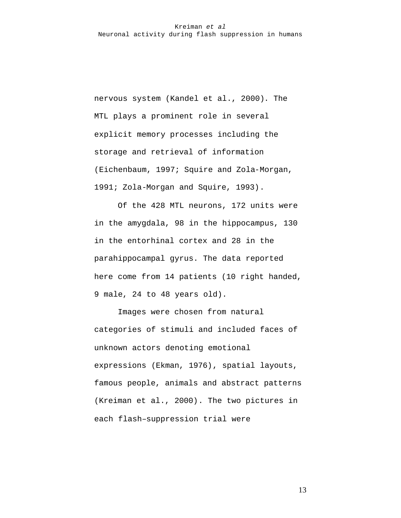nervous system (Kandel et al., 2000). The MTL plays a prominent role in several explicit memory processes including the storage and retrieval of information (Eichenbaum, 1997; Squire and Zola-Morgan, 1991; Zola-Morgan and Squire, 1993).

Of the 428 MTL neurons, 172 units were in the amygdala, 98 in the hippocampus, 130 in the entorhinal cortex and 28 in the parahippocampal gyrus. The data reported here come from 14 patients (10 right handed, 9 male, 24 to 48 years old).

Images were chosen from natural categories of stimuli and included faces of unknown actors denoting emotional expressions (Ekman, 1976), spatial layouts, famous people, animals and abstract patterns (Kreiman et al., 2000). The two pictures in each flash–suppression trial were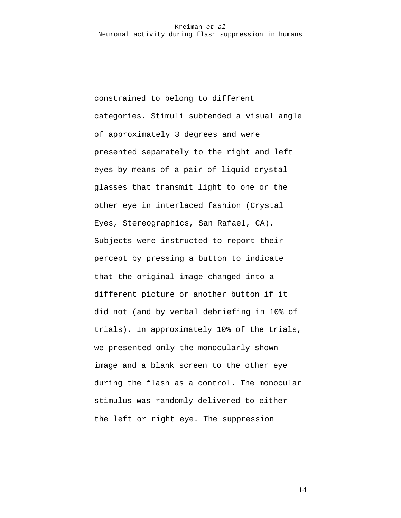constrained to belong to different categories. Stimuli subtended a visual angle of approximately 3 degrees and were presented separately to the right and left eyes by means of a pair of liquid crystal glasses that transmit light to one or the other eye in interlaced fashion (Crystal Eyes, Stereographics, San Rafael, CA). Subjects were instructed to report their percept by pressing a button to indicate that the original image changed into a different picture or another button if it did not (and by verbal debriefing in 10% of trials). In approximately 10% of the trials, we presented only the monocularly shown image and a blank screen to the other eye during the flash as a control. The monocular stimulus was randomly delivered to either the left or right eye. The suppression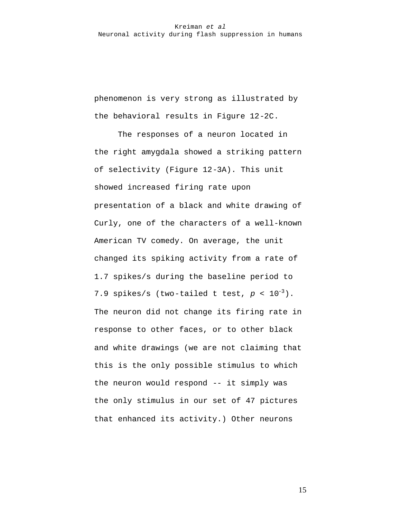phenomenon is very strong as illustrated by the behavioral results in Figure 12-2C.

The responses of a neuron located in the right amygdala showed a striking pattern of selectivity (Figure 12-3A). This unit showed increased firing rate upon presentation of a black and white drawing of Curly, one of the characters of a well-known American TV comedy. On average, the unit changed its spiking activity from a rate of 1.7 spikes/s during the baseline period to 7.9 spikes/s (two-tailed t test,  $p < 10^{-3}$ ). The neuron did not change its firing rate in response to other faces, or to other black and white drawings (we are not claiming that this is the only possible stimulus to which the neuron would respond -- it simply was the only stimulus in our set of 47 pictures that enhanced its activity.) Other neurons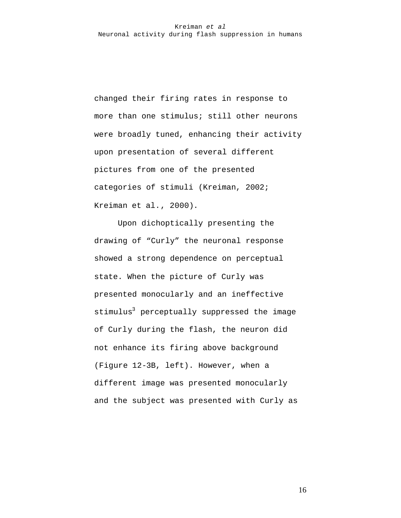changed their firing rates in response to more than one stimulus; still other neurons were broadly tuned, enhancing their activity upon presentation of several different pictures from one of the presented categories of stimuli (Kreiman, 2002; Kreiman et al., 2000).

Upon dichoptically presenting the drawing of "Curly" the neuronal response showed a strong dependence on perceptual state. When the picture of Curly was presented monocularly and an ineffective stimulus<sup>3</sup> perceptually suppressed the image of Curly during the flash, the neuron did not enhance its firing above background (Figure 12-3B, left). However, when a different image was presented monocularly and the subject was presented with Curly as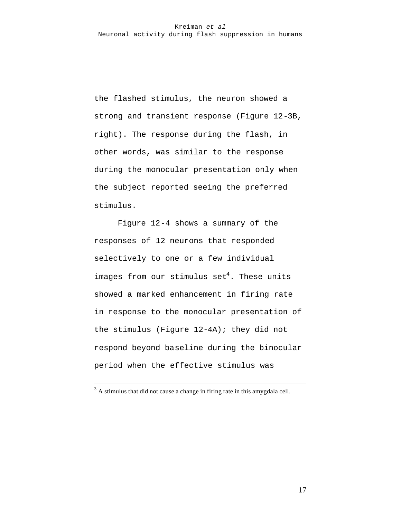the flashed stimulus, the neuron showed a strong and transient response (Figure 12-3B, right). The response during the flash, in other words, was similar to the response during the monocular presentation only when the subject reported seeing the preferred stimulus.

Figure 12-4 shows a summary of the responses of 12 neurons that responded selectively to one or a few individual images from our stimulus  $\text{set}^4$ . These units showed a marked enhancement in firing rate in response to the monocular presentation of the stimulus (Figure 12-4A); they did not respond beyond baseline during the binocular period when the effective stimulus was

 $\overline{a}$ 

 $3$  A stimulus that did not cause a change in firing rate in this amygdala cell.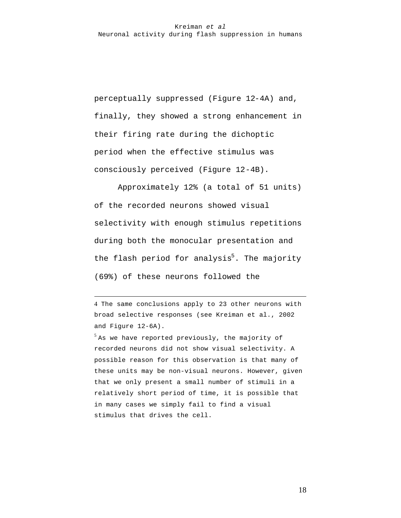perceptually suppressed (Figure 12-4A) and, finally, they showed a strong enhancement in their firing rate during the dichoptic period when the effective stimulus was consciously perceived (Figure 12-4B).

Approximately 12% (a total of 51 units) of the recorded neurons showed visual selectivity with enough stimulus repetitions during both the monocular presentation and the flash period for analysis<sup>5</sup>. The majority (69%) of these neurons followed the

4 The same conclusions apply to 23 other neurons with broad selective responses (see Kreiman et al., 2002 and Figure 12-6A).

 $\overline{a}$ 

 $^5$  As we have reported previously, the majority of recorded neurons did not show visual selectivity. A possible reason for this observation is that many of these units may be non-visual neurons. However, given that we only present a small number of stimuli in a relatively short period of time, it is possible that in many cases we simply fail to find a visual stimulus that drives the cell.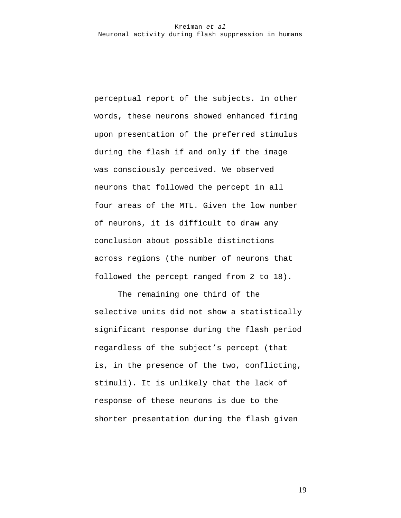perceptual report of the subjects. In other words, these neurons showed enhanced firing upon presentation of the preferred stimulus during the flash if and only if the image was consciously perceived. We observed neurons that followed the percept in all four areas of the MTL. Given the low number of neurons, it is difficult to draw any conclusion about possible distinctions across regions (the number of neurons that followed the percept ranged from 2 to 18).

The remaining one third of the selective units did not show a statistically significant response during the flash period regardless of the subject's percept (that is, in the presence of the two, conflicting, stimuli). It is unlikely that the lack of response of these neurons is due to the shorter presentation during the flash given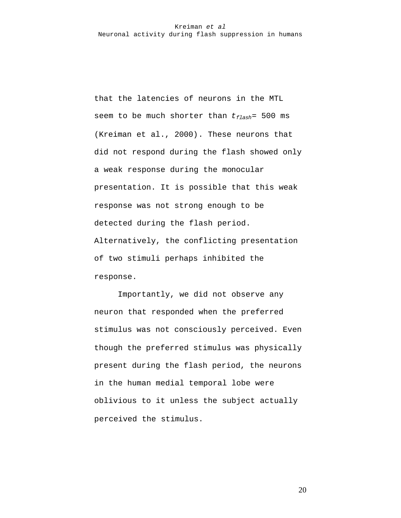that the latencies of neurons in the MTL seem to be much shorter than *tflash*= 500 ms (Kreiman et al., 2000). These neurons that did not respond during the flash showed only a weak response during the monocular presentation. It is possible that this weak response was not strong enough to be detected during the flash period. Alternatively, the conflicting presentation of two stimuli perhaps inhibited the response.

Importantly, we did not observe any neuron that responded when the preferred stimulus was not consciously perceived. Even though the preferred stimulus was physically present during the flash period, the neurons in the human medial temporal lobe were oblivious to it unless the subject actually perceived the stimulus.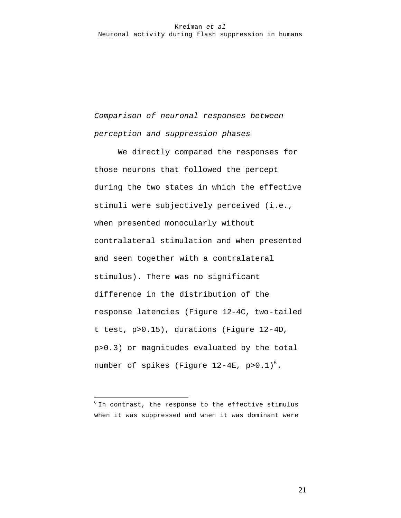*Comparison of neuronal responses between perception and suppression phases*

We directly compared the responses for those neurons that followed the percept during the two states in which the effective stimuli were subjectively perceived (i.e., when presented monocularly without contralateral stimulation and when presented and seen together with a contralateral stimulus). There was no significant difference in the distribution of the response latencies (Figure 12-4C, two-tailed t test, p>0.15), durations (Figure 12-4D, p>0.3) or magnitudes evaluated by the total number of spikes (Figure  $12-4E$ , p> $0.1$ )<sup>6</sup>.

 $\overline{a}$ 

 $^6$  In contrast, the response to the effective stimulus when it was suppressed and when it was dominant were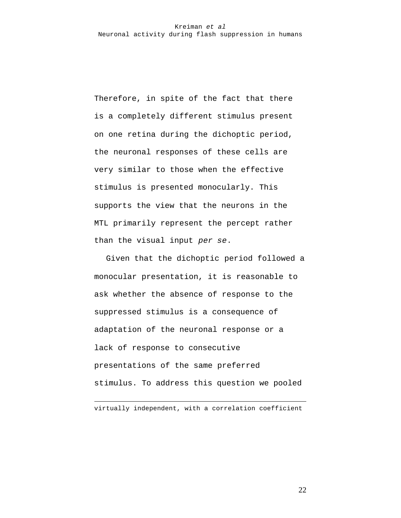Therefore, in spite of the fact that there is a completely different stimulus present on one retina during the dichoptic period, the neuronal responses of these cells are very similar to those when the effective stimulus is presented monocularly. This supports the view that the neurons in the MTL primarily represent the percept rather than the visual input *per se*.

Given that the dichoptic period followed a monocular presentation, it is reasonable to ask whether the absence of response to the suppressed stimulus is a consequence of adaptation of the neuronal response or a lack of response to consecutive presentations of the same preferred stimulus. To address this question we pooled

virtually independent, with a correlation coefficient

 $\overline{a}$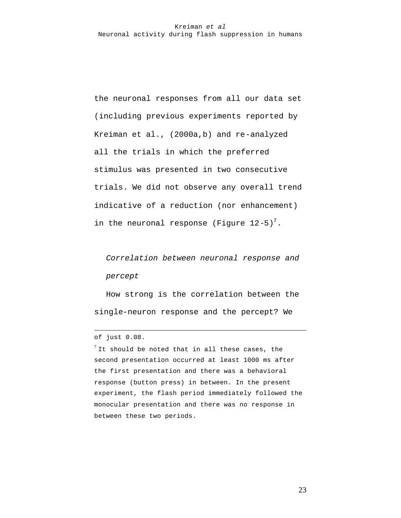the neuronal responses from all our data set (including previous experiments reported by Kreiman et al., (2000a,b) and re-analyzed all the trials in which the preferred stimulus was presented in two consecutive trials. We did not observe any overall trend indicative of a reduction (nor enhancement) in the neuronal response (Figure 12-5)<sup>7</sup>.

*Correlation between neuronal response and percept*

How strong is the correlation between the single-neuron response and the percept? We

 $\overline{a}$ 

 $^7$  It should be noted that in all these cases, the second presentation occurred at least 1000 ms after the first presentation and there was a behavioral response (button press) in between. In the present experiment, the flash period immediately followed the monocular presentation and there was no response in between these two periods.

of just 0.08.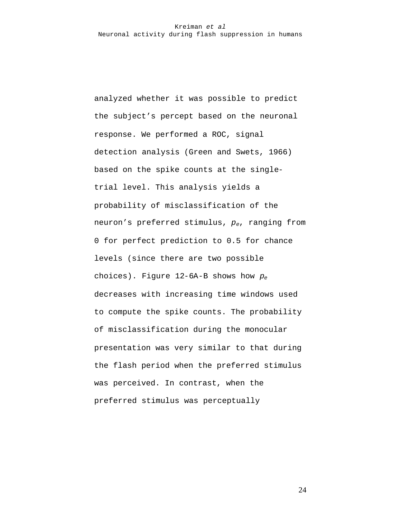analyzed whether it was possible to predict the subject's percept based on the neuronal response. We performed a ROC, signal detection analysis (Green and Swets, 1966) based on the spike counts at the singletrial level. This analysis yields a probability of misclassification of the neuron's preferred stimulus, *pe*, ranging from 0 for perfect prediction to 0.5 for chance levels (since there are two possible choices). Figure 12-6A-B shows how *p<sup>e</sup>* decreases with increasing time windows used to compute the spike counts. The probability of misclassification during the monocular presentation was very similar to that during the flash period when the preferred stimulus was perceived. In contrast, when the preferred stimulus was perceptually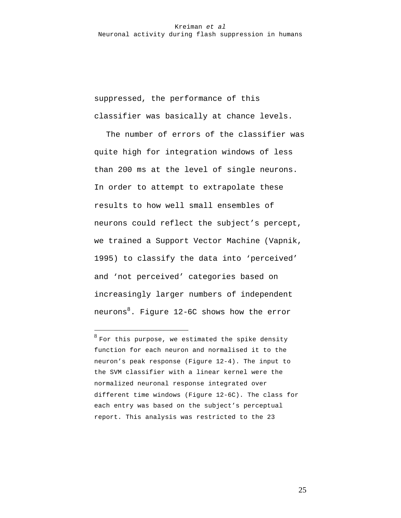suppressed, the performance of this classifier was basically at chance levels.

The number of errors of the classifier was quite high for integration windows of less than 200 ms at the level of single neurons. In order to attempt to extrapolate these results to how well small ensembles of neurons could reflect the subject's percept, we trained a Support Vector Machine (Vapnik, 1995) to classify the data into 'perceived' and 'not perceived' categories based on increasingly larger numbers of independent neurons $8$ . Figure 12-6C shows how the error

 $\overline{a}$ 

 $^8$  For this purpose, we estimated the spike density function for each neuron and normalised it to the neuron's peak response (Figure 12-4). The input to the SVM classifier with a linear kernel were the normalized neuronal response integrated over different time windows (Figure 12-6C). The class for each entry was based on the subject's perceptual report. This analysis was restricted to the 23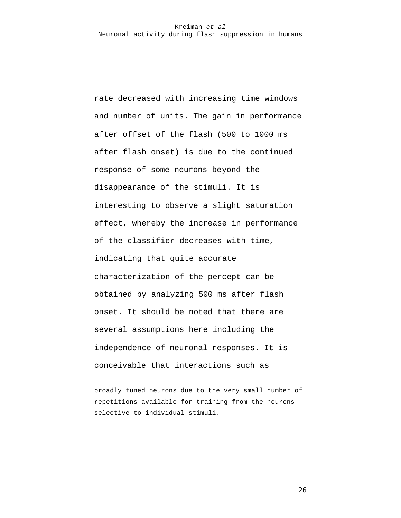rate decreased with increasing time windows and number of units. The gain in performance after offset of the flash (500 to 1000 ms after flash onset) is due to the continued response of some neurons beyond the disappearance of the stimuli. It is interesting to observe a slight saturation effect, whereby the increase in performance of the classifier decreases with time, indicating that quite accurate characterization of the percept can be obtained by analyzing 500 ms after flash onset. It should be noted that there are several assumptions here including the independence of neuronal responses. It is conceivable that interactions such as

broadly tuned neurons due to the very small number of repetitions available for training from the neurons selective to individual stimuli.

 $\overline{a}$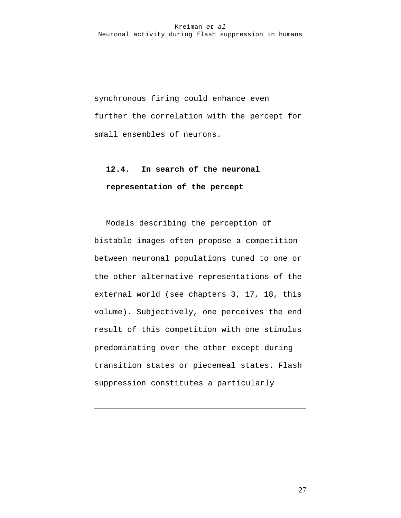synchronous firing could enhance even further the correlation with the percept for small ensembles of neurons.

# **12.4. In search of the neuronal representation of the percept**

Models describing the perception of bistable images often propose a competition between neuronal populations tuned to one or the other alternative representations of the external world (see chapters 3, 17, 18, this volume). Subjectively, one perceives the end result of this competition with one stimulus predominating over the other except during transition states or piecemeal states. Flash suppression constitutes a particularly

 $\overline{a}$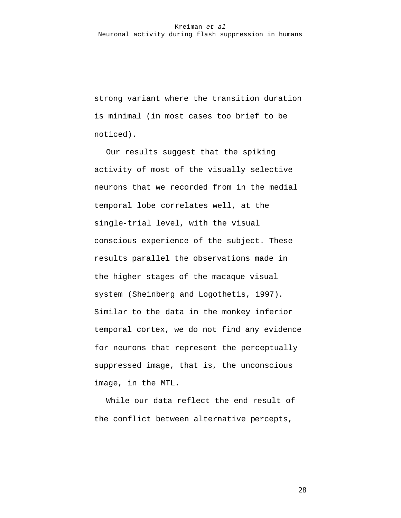strong variant where the transition duration is minimal (in most cases too brief to be noticed).

Our results suggest that the spiking activity of most of the visually selective neurons that we recorded from in the medial temporal lobe correlates well, at the single-trial level, with the visual conscious experience of the subject. These results parallel the observations made in the higher stages of the macaque visual system (Sheinberg and Logothetis, 1997). Similar to the data in the monkey inferior temporal cortex, we do not find any evidence for neurons that represent the perceptually suppressed image, that is, the unconscious image, in the MTL.

While our data reflect the end result of the conflict between alternative percepts,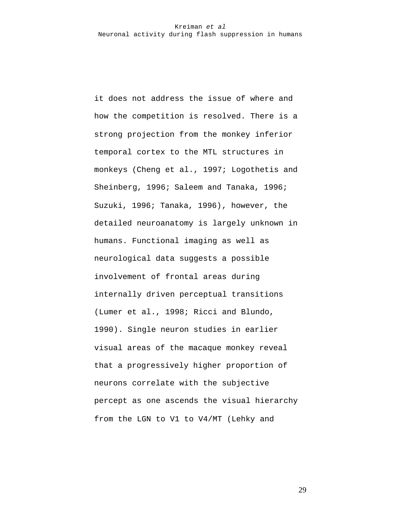it does not address the issue of where and how the competition is resolved. There is a strong projection from the monkey inferior temporal cortex to the MTL structures in monkeys (Cheng et al., 1997; Logothetis and Sheinberg, 1996; Saleem and Tanaka, 1996; Suzuki, 1996; Tanaka, 1996), however, the detailed neuroanatomy is largely unknown in humans. Functional imaging as well as neurological data suggests a possible involvement of frontal areas during internally driven perceptual transitions (Lumer et al., 1998; Ricci and Blundo, 1990). Single neuron studies in earlier visual areas of the macaque monkey reveal that a progressively higher proportion of neurons correlate with the subjective percept as one ascends the visual hierarchy from the LGN to V1 to V4/MT (Lehky and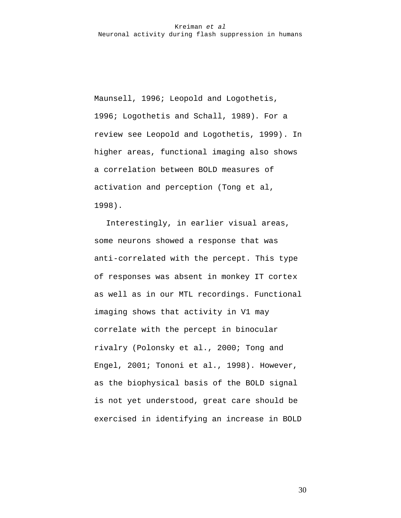Maunsell, 1996; Leopold and Logothetis, 1996; Logothetis and Schall, 1989). For a review see Leopold and Logothetis, 1999). In higher areas, functional imaging also shows a correlation between BOLD measures of activation and perception (Tong et al, 1998).

Interestingly, in earlier visual areas, some neurons showed a response that was anti-correlated with the percept. This type of responses was absent in monkey IT cortex as well as in our MTL recordings. Functional imaging shows that activity in V1 may correlate with the percept in binocular rivalry (Polonsky et al., 2000; Tong and Engel, 2001; Tononi et al., 1998). However, as the biophysical basis of the BOLD signal is not yet understood, great care should be exercised in identifying an increase in BOLD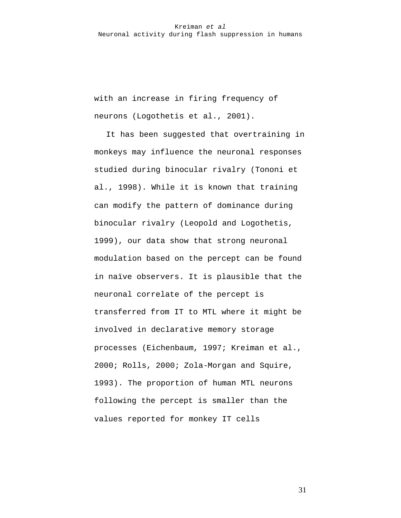with an increase in firing frequency of neurons (Logothetis et al., 2001).

It has been suggested that overtraining in monkeys may influence the neuronal responses studied during binocular rivalry (Tononi et al., 1998). While it is known that training can modify the pattern of dominance during binocular rivalry (Leopold and Logothetis, 1999), our data show that strong neuronal modulation based on the percept can be found in naïve observers. It is plausible that the neuronal correlate of the percept is transferred from IT to MTL where it might be involved in declarative memory storage processes (Eichenbaum, 1997; Kreiman et al., 2000; Rolls, 2000; Zola-Morgan and Squire, 1993). The proportion of human MTL neurons following the percept is smaller than the values reported for monkey IT cells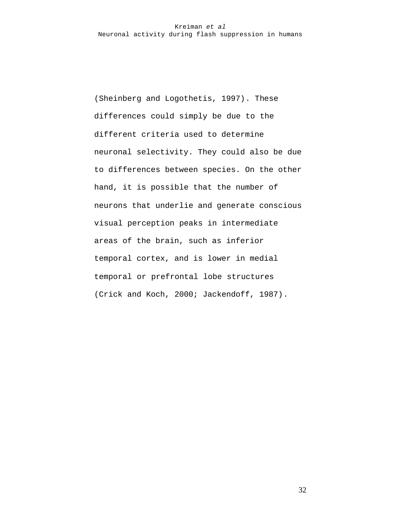(Sheinberg and Logothetis, 1997). These differences could simply be due to the different criteria used to determine neuronal selectivity. They could also be due to differences between species. On the other hand, it is possible that the number of neurons that underlie and generate conscious visual perception peaks in intermediate areas of the brain, such as inferior temporal cortex, and is lower in medial temporal or prefrontal lobe structures (Crick and Koch, 2000; Jackendoff, 1987).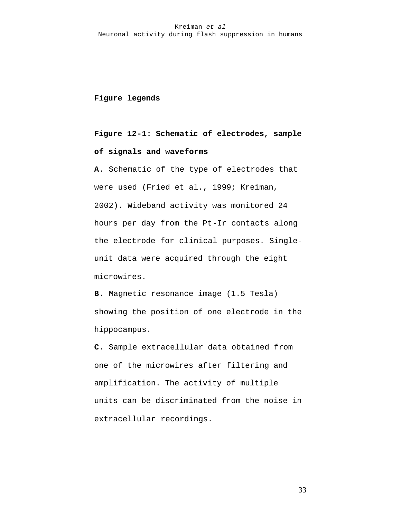# **Figure legends**

# **Figure 12-1: Schematic of electrodes, sample of signals and waveforms**

**A.** Schematic of the type of electrodes that were used (Fried et al., 1999; Kreiman, 2002). Wideband activity was monitored 24 hours per day from the Pt-Ir contacts along the electrode for clinical purposes. Singleunit data were acquired through the eight microwires.

**B.** Magnetic resonance image (1.5 Tesla) showing the position of one electrode in the hippocampus.

**C.** Sample extracellular data obtained from one of the microwires after filtering and amplification. The activity of multiple units can be discriminated from the noise in extracellular recordings.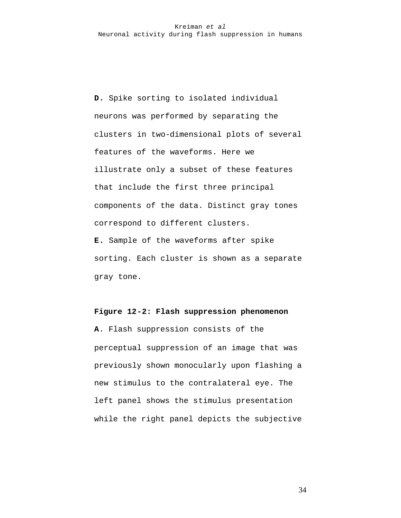**D.** Spike sorting to isolated individual neurons was performed by separating the clusters in two-dimensional plots of several features of the waveforms. Here we illustrate only a subset of these features that include the first three principal components of the data. Distinct gray tones correspond to different clusters. **E.** Sample of the waveforms after spike

sorting. Each cluster is shown as a separate gray tone.

### **Figure 12-2: Flash suppression phenomenon**

**A**. Flash suppression consists of the perceptual suppression of an image that was previously shown monocularly upon flashing a new stimulus to the contralateral eye. The left panel shows the stimulus presentation while the right panel depicts the subjective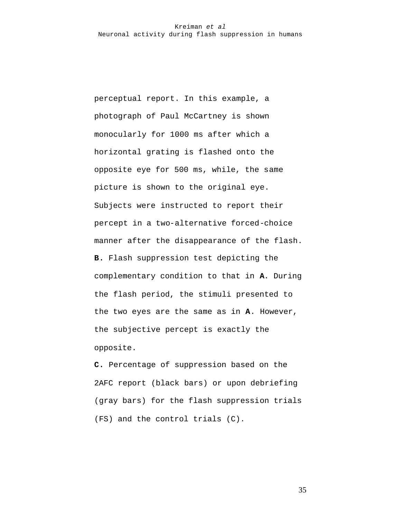perceptual report. In this example, a photograph of Paul McCartney is shown monocularly for 1000 ms after which a horizontal grating is flashed onto the opposite eye for 500 ms, while, the same picture is shown to the original eye. Subjects were instructed to report their percept in a two-alternative forced-choice manner after the disappearance of the flash. **B.** Flash suppression test depicting the complementary condition to that in **A**. During the flash period, the stimuli presented to the two eyes are the same as in **A**. However, the subjective percept is exactly the opposite.

**C.** Percentage of suppression based on the 2AFC report (black bars) or upon debriefing (gray bars) for the flash suppression trials (FS) and the control trials (C).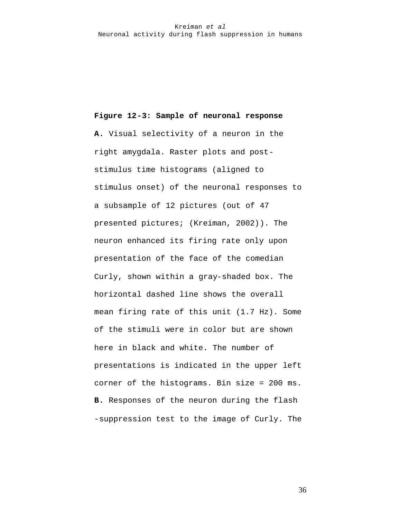# **Figure 12-3: Sample of neuronal response**

**A.** Visual selectivity of a neuron in the right amygdala. Raster plots and poststimulus time histograms (aligned to stimulus onset) of the neuronal responses to a subsample of 12 pictures (out of 47 presented pictures; (Kreiman, 2002)). The neuron enhanced its firing rate only upon presentation of the face of the comedian Curly, shown within a gray-shaded box. The horizontal dashed line shows the overall mean firing rate of this unit (1.7 Hz). Some of the stimuli were in color but are shown here in black and white. The number of presentations is indicated in the upper left corner of the histograms. Bin size = 200 ms. **B.** Responses of the neuron during the flash -suppression test to the image of Curly. The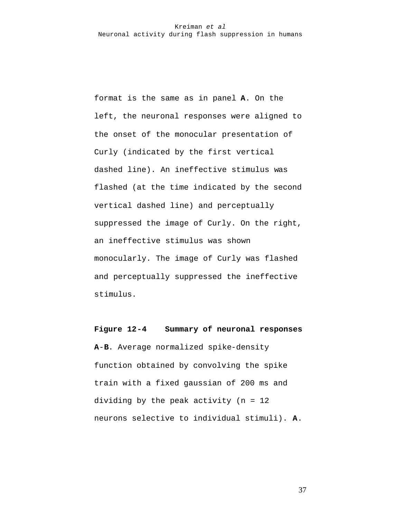format is the same as in panel **A**. On the left, the neuronal responses were aligned to the onset of the monocular presentation of Curly (indicated by the first vertical dashed line). An ineffective stimulus was flashed (at the time indicated by the second vertical dashed line) and perceptually suppressed the image of Curly. On the right, an ineffective stimulus was shown monocularly. The image of Curly was flashed and perceptually suppressed the ineffective stimulus.

# **Figure 12-4 Summary of neuronal responses**

**A**-**B**. Average normalized spike-density function obtained by convolving the spike train with a fixed gaussian of 200 ms and dividing by the peak activity (n = 12 neurons selective to individual stimuli). **A**.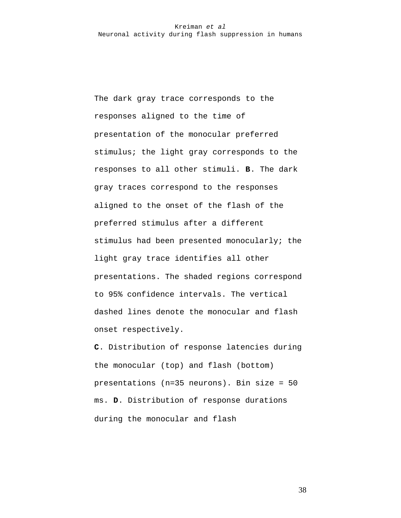The dark gray trace corresponds to the responses aligned to the time of presentation of the monocular preferred stimulus; the light gray corresponds to the responses to all other stimuli. **B**. The dark gray traces correspond to the responses aligned to the onset of the flash of the preferred stimulus after a different stimulus had been presented monocularly; the light gray trace identifies all other presentations. The shaded regions correspond to 95% confidence intervals. The vertical dashed lines denote the monocular and flash onset respectively.

**C**. Distribution of response latencies during the monocular (top) and flash (bottom) presentations (n=35 neurons). Bin size = 50 ms. **D**. Distribution of response durations during the monocular and flash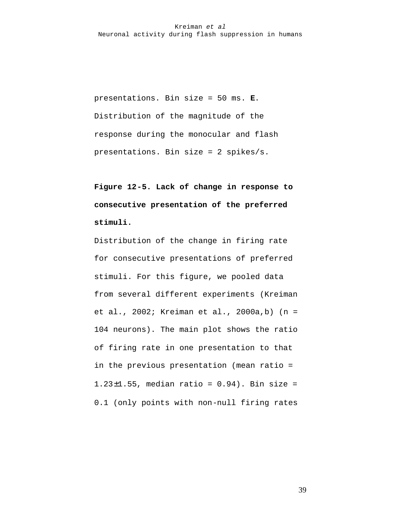presentations. Bin size = 50 ms. **E**. Distribution of the magnitude of the response during the monocular and flash presentations. Bin size = 2 spikes/s.

**Figure 12-5. Lack of change in response to consecutive presentation of the preferred stimuli.** 

Distribution of the change in firing rate for consecutive presentations of preferred stimuli. For this figure, we pooled data from several different experiments (Kreiman et al., 2002; Kreiman et al., 2000a,b) (n = 104 neurons). The main plot shows the ratio of firing rate in one presentation to that in the previous presentation (mean ratio = 1.23±1.55, median ratio = 0.94). Bin size = 0.1 (only points with non-null firing rates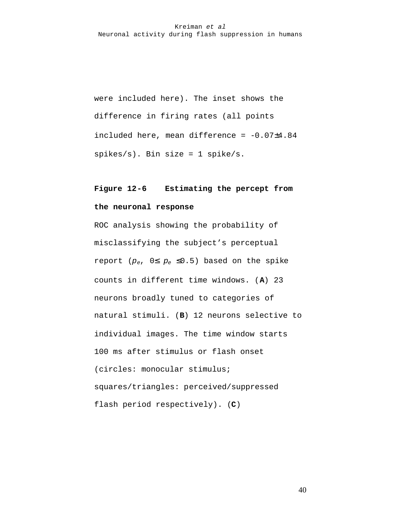were included here). The inset shows the difference in firing rates (all points included here, mean difference = -0.07±4.84  $spikes/s$ ). Bin size = 1 spike/s.

# **Figure 12-6 Estimating the percept from the neuronal response**

ROC analysis showing the probability of misclassifying the subject's perceptual report ( $p_e$ ,  $0 \leq p_e \leq 0.5$ ) based on the spike counts in different time windows. (**A**) 23 neurons broadly tuned to categories of natural stimuli. (**B**) 12 neurons selective to individual images. The time window starts 100 ms after stimulus or flash onset (circles: monocular stimulus; squares/triangles: perceived/suppressed flash period respectively). (**C**)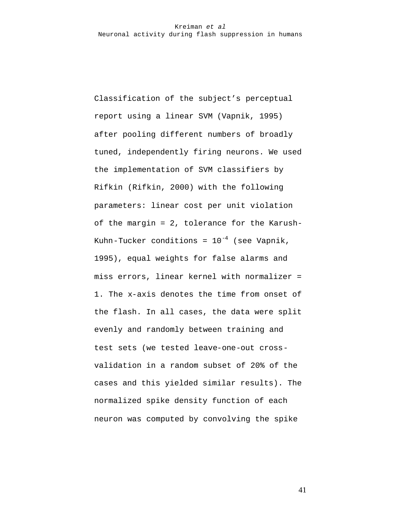Classification of the subject's perceptual report using a linear SVM (Vapnik, 1995) after pooling different numbers of broadly tuned, independently firing neurons. We used the implementation of SVM classifiers by Rifkin (Rifkin, 2000) with the following parameters: linear cost per unit violation of the margin = 2, tolerance for the Karush-Kuhn-Tucker conditions =  $10^{-4}$  (see Vapnik, 1995), equal weights for false alarms and miss errors, linear kernel with normalizer = 1. The x-axis denotes the time from onset of the flash. In all cases, the data were split evenly and randomly between training and test sets (we tested leave-one-out crossvalidation in a random subset of 20% of the cases and this yielded similar results). The normalized spike density function of each neuron was computed by convolving the spike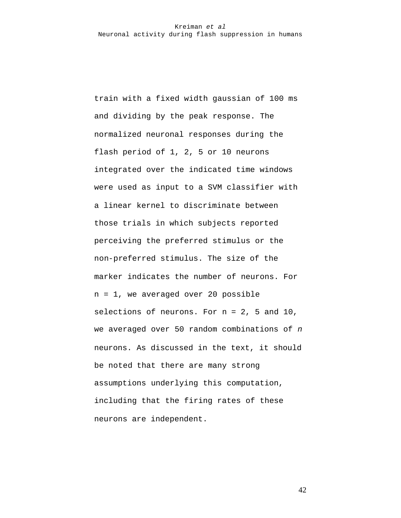train with a fixed width gaussian of 100 ms and dividing by the peak response. The normalized neuronal responses during the flash period of 1, 2, 5 or 10 neurons integrated over the indicated time windows were used as input to a SVM classifier with a linear kernel to discriminate between those trials in which subjects reported perceiving the preferred stimulus or the non-preferred stimulus. The size of the marker indicates the number of neurons. For n = 1, we averaged over 20 possible selections of neurons. For  $n = 2$ , 5 and 10, we averaged over 50 random combinations of *n* neurons. As discussed in the text, it should be noted that there are many strong assumptions underlying this computation, including that the firing rates of these neurons are independent.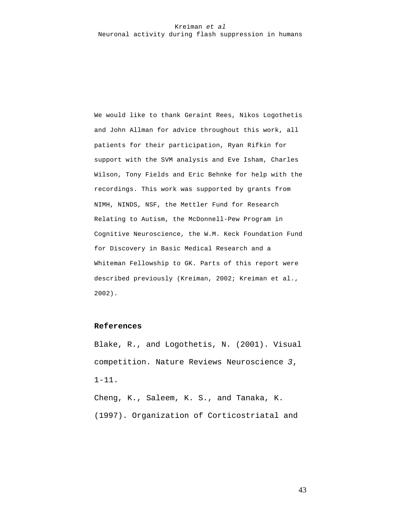We would like to thank Geraint Rees, Nikos Logothetis and John Allman for advice throughout this work, all patients for their participation, Ryan Rifkin for support with the SVM analysis and Eve Isham, Charles Wilson, Tony Fields and Eric Behnke for help with the recordings. This work was supported by grants from NIMH, NINDS, NSF, the Mettler Fund for Research Relating to Autism, the McDonnell-Pew Program in Cognitive Neuroscience, the W.M. Keck Foundation Fund for Discovery in Basic Medical Research and a Whiteman Fellowship to GK. Parts of this report were described previously (Kreiman, 2002; Kreiman et al., 2002).

#### **References**

Blake, R., and Logothetis, N. (2001). Visual competition. Nature Reviews Neuroscience *3*, 1-11.

Cheng, K., Saleem, K. S., and Tanaka, K. (1997). Organization of Corticostriatal and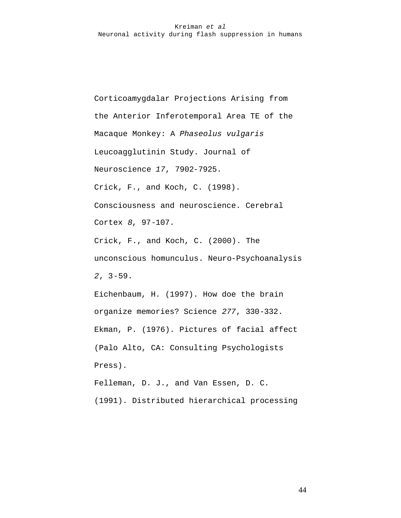Corticoamygdalar Projections Arising from the Anterior Inferotemporal Area TE of the Macaque Monkey: A *Phaseolus vulgaris*  Leucoagglutinin Study. Journal of Neuroscience *17*, 7902-7925. Crick, F., and Koch, C. (1998). Consciousness and neuroscience. Cerebral Cortex *8*, 97-107. Crick, F., and Koch, C. (2000). The unconscious homunculus. Neuro-Psychoanalysis *2*, 3-59.

Eichenbaum, H. (1997). How doe the brain organize memories? Science *277*, 330-332. Ekman, P. (1976). Pictures of facial affect (Palo Alto, CA: Consulting Psychologists Press).

Felleman, D. J., and Van Essen, D. C. (1991). Distributed hierarchical processing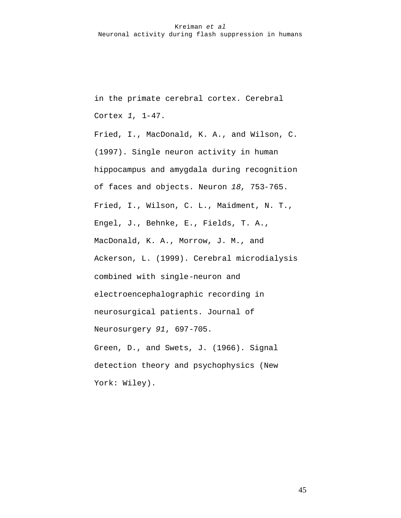in the primate cerebral cortex. Cerebral Cortex *1*, 1-47.

Fried, I., MacDonald, K. A., and Wilson, C. (1997). Single neuron activity in human hippocampus and amygdala during recognition of faces and objects. Neuron *18*, 753-765. Fried, I., Wilson, C. L., Maidment, N. T., Engel, J., Behnke, E., Fields, T. A., MacDonald, K. A., Morrow, J. M., and Ackerson, L. (1999). Cerebral microdialysis combined with single-neuron and electroencephalographic recording in neurosurgical patients. Journal of Neurosurgery *91*, 697-705. Green, D., and Swets, J. (1966). Signal detection theory and psychophysics (New York: Wiley).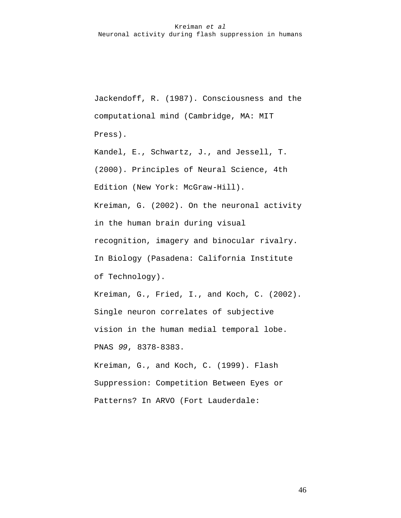Jackendoff, R. (1987). Consciousness and the computational mind (Cambridge, MA: MIT Press).

Kandel, E., Schwartz, J., and Jessell, T. (2000). Principles of Neural Science, 4th Edition (New York: McGraw-Hill). Kreiman, G. (2002). On the neuronal activity in the human brain during visual recognition, imagery and binocular rivalry. In Biology (Pasadena: California Institute of Technology). Kreiman, G., Fried, I., and Koch, C. (2002).

Single neuron correlates of subjective vision in the human medial temporal lobe. PNAS *99*, 8378-8383.

Kreiman, G., and Koch, C. (1999). Flash Suppression: Competition Between Eyes or Patterns? In ARVO (Fort Lauderdale: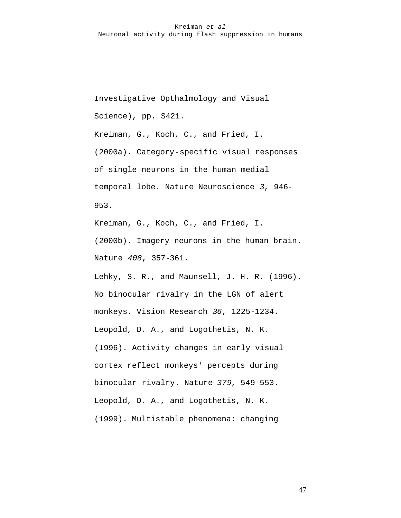Investigative Opthalmology and Visual Science), pp. S421.

Kreiman, G., Koch, C., and Fried, I. (2000a). Category-specific visual responses of single neurons in the human medial temporal lobe. Nature Neuroscience *3*, 946- 953.

Kreiman, G., Koch, C., and Fried, I. (2000b). Imagery neurons in the human brain. Nature *408*, 357-361.

Lehky, S. R., and Maunsell, J. H. R. (1996). No binocular rivalry in the LGN of alert monkeys. Vision Research *36*, 1225-1234. Leopold, D. A., and Logothetis, N. K. (1996). Activity changes in early visual cortex reflect monkeys' percepts during binocular rivalry. Nature *379*, 549-553. Leopold, D. A., and Logothetis, N. K. (1999). Multistable phenomena: changing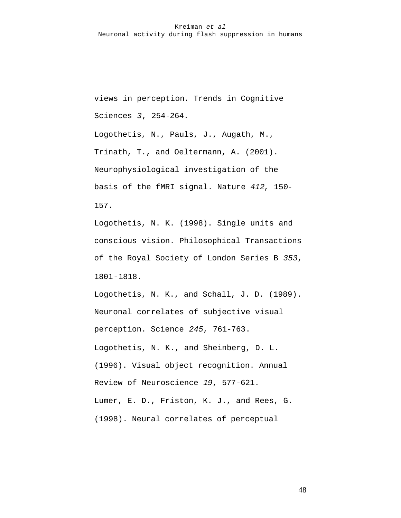views in perception. Trends in Cognitive Sciences *3*, 254-264.

Logothetis, N., Pauls, J., Augath, M., Trinath, T., and Oeltermann, A. (2001). Neurophysiological investigation of the basis of the fMRI signal. Nature *412*, 150- 157.

Logothetis, N. K. (1998). Single units and conscious vision. Philosophical Transactions of the Royal Society of London Series B *353*, 1801-1818.

Logothetis, N. K., and Schall, J. D. (1989). Neuronal correlates of subjective visual perception. Science *245*, 761-763. Logothetis, N. K., and Sheinberg, D. L. (1996). Visual object recognition. Annual Review of Neuroscience *19*, 577-621. Lumer, E. D., Friston, K. J., and Rees, G. (1998). Neural correlates of perceptual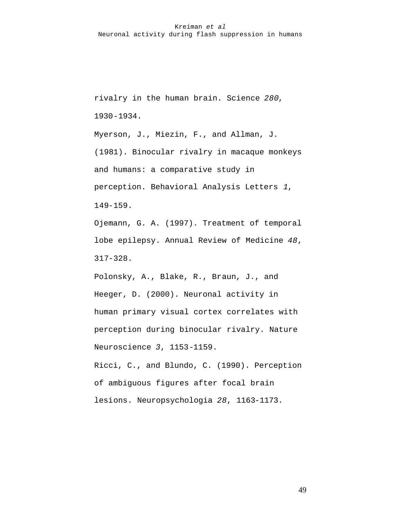rivalry in the human brain. Science *280*, 1930-1934.

Myerson, J., Miezin, F., and Allman, J. (1981). Binocular rivalry in macaque monkeys and humans: a comparative study in perception. Behavioral Analysis Letters *1*, 149-159.

Ojemann, G. A. (1997). Treatment of temporal lobe epilepsy. Annual Review of Medicine *48*, 317-328.

Polonsky, A., Blake, R., Braun, J., and Heeger, D. (2000). Neuronal activity in human primary visual cortex correlates with perception during binocular rivalry. Nature Neuroscience *3*, 1153-1159.

Ricci, C., and Blundo, C. (1990). Perception of ambiguous figures after focal brain lesions. Neuropsychologia *28*, 1163-1173.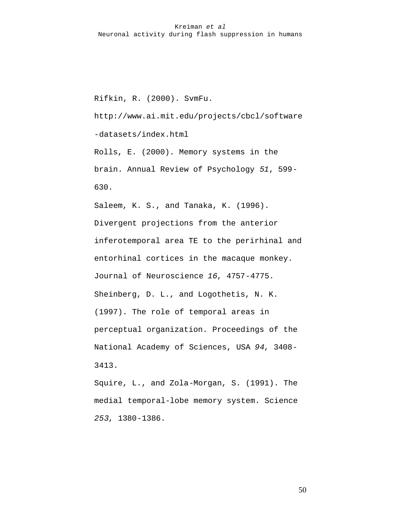Rifkin, R. (2000). SvmFu.

http://www.ai.mit.edu/projects/cbcl/software

-datasets/index.html

Rolls, E. (2000). Memory systems in the brain. Annual Review of Psychology *51*, 599- 630.

Saleem, K. S., and Tanaka, K. (1996). Divergent projections from the anterior inferotemporal area TE to the perirhinal and entorhinal cortices in the macaque monkey. Journal of Neuroscience *16*, 4757-4775. Sheinberg, D. L., and Logothetis, N. K. (1997). The role of temporal areas in perceptual organization. Proceedings of the National Academy of Sciences, USA *94*, 3408- 3413.

Squire, L., and Zola-Morgan, S. (1991). The medial temporal-lobe memory system. Science *253*, 1380-1386.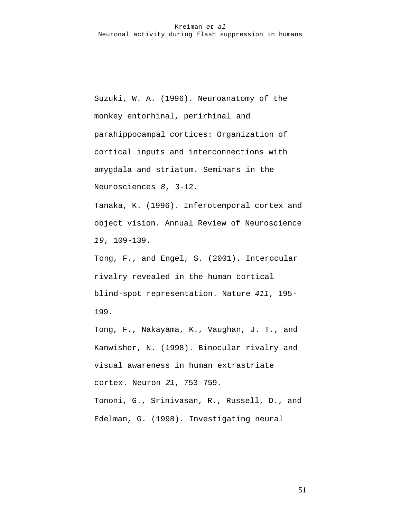Suzuki, W. A. (1996). Neuroanatomy of the monkey entorhinal, perirhinal and parahippocampal cortices: Organization of cortical inputs and interconnections with amygdala and striatum. Seminars in the Neurosciences *8*, 3-12.

Tanaka, K. (1996). Inferotemporal cortex and object vision. Annual Review of Neuroscience *19*, 109-139.

Tong, F., and Engel, S. (2001). Interocular rivalry revealed in the human cortical blind-spot representation. Nature *411*, 195- 199.

Tong, F., Nakayama, K., Vaughan, J. T., and Kanwisher, N. (1998). Binocular rivalry and visual awareness in human extrastriate cortex. Neuron *21*, 753-759. Tononi, G., Srinivasan, R., Russell, D., and

Edelman, G. (1998). Investigating neural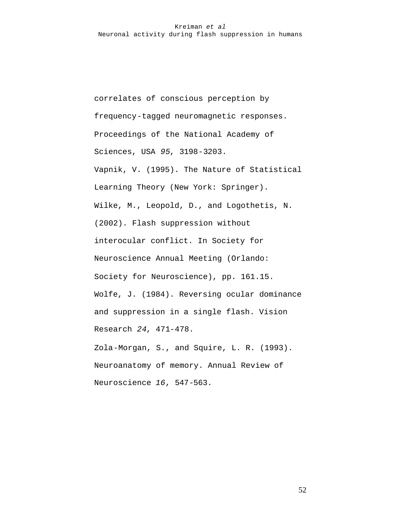correlates of conscious perception by frequency-tagged neuromagnetic responses. Proceedings of the National Academy of Sciences, USA *95*, 3198-3203. Vapnik, V. (1995). The Nature of Statistical Learning Theory (New York: Springer). Wilke, M., Leopold, D., and Logothetis, N. (2002). Flash suppression without interocular conflict. In Society for Neuroscience Annual Meeting (Orlando: Society for Neuroscience), pp. 161.15. Wolfe, J. (1984). Reversing ocular dominance and suppression in a single flash. Vision Research *24*, 471-478. Zola-Morgan, S., and Squire, L. R. (1993). Neuroanatomy of memory. Annual Review of

Neuroscience *16*, 547-563.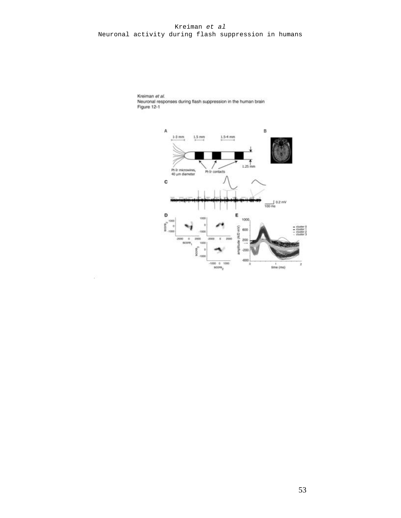

Kreiman et al. Neuronal responses during flash suppression in the human brain<br>Figure 12-1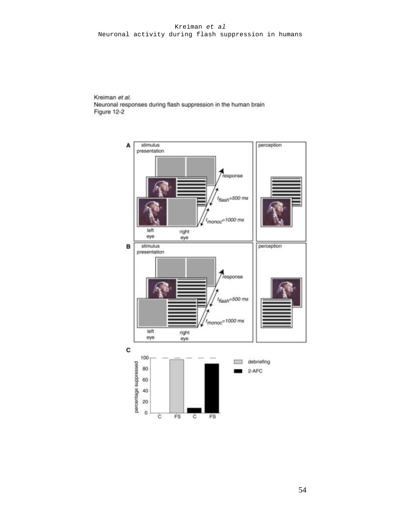Kreiman et al. Neuronal responses during flash suppression in the human brain Figure 12-2

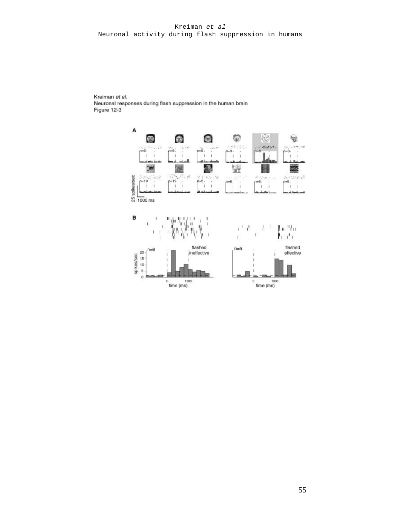Kreiman et al. Neuronal responses during flash suppression in the human brain Figure 12-3

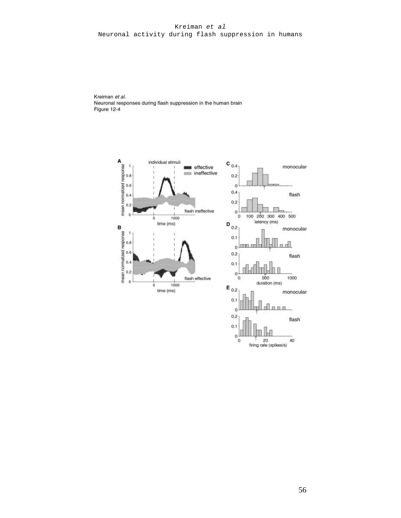Kreiman et al. Neuronal responses during flash suppression in the human brain Figure 12-4



 $\begin{matrix} 1 & 20 \\ 1 & 20 \end{matrix}$ <br>firing rate (spikes/s)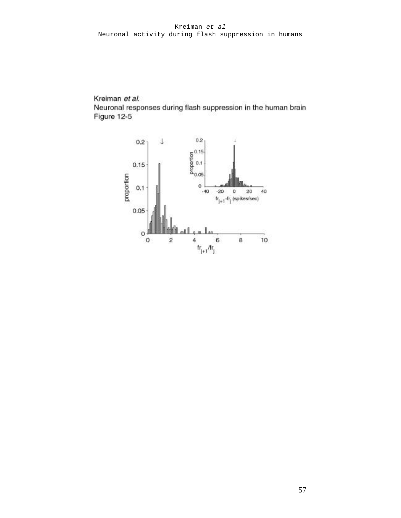Kreiman et al.

Neuronal responses during flash suppression in the human brain Figure 12-5